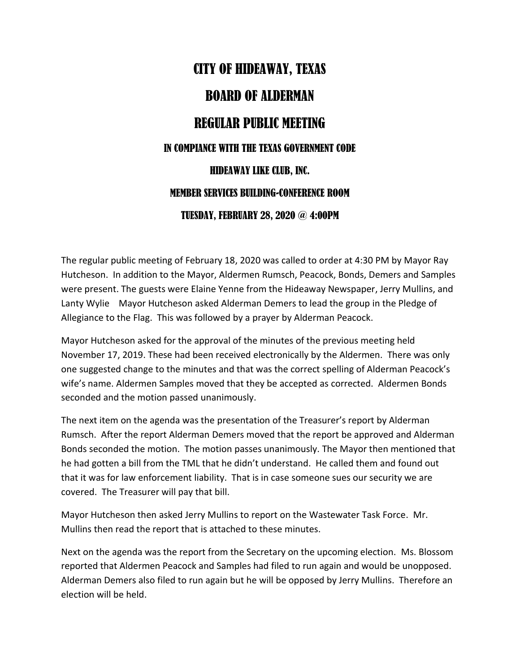## CITY OF HIDEAWAY, TEXAS BOARD OF ALDERMAN REGULAR PUBLIC MEETING IN COMPIANCE WITH THE TEXAS GOVERNMENT CODE HIDEAWAY LIKE CLUB, INC. MEMBER SERVICES BUILDING-CONFERENCE ROOM TUESDAY, FEBRUARY 28, 2020 @ 4:00PM

The regular public meeting of February 18, 2020 was called to order at 4:30 PM by Mayor Ray Hutcheson. In addition to the Mayor, Aldermen Rumsch, Peacock, Bonds, Demers and Samples were present. The guests were Elaine Yenne from the Hideaway Newspaper, Jerry Mullins, and Lanty Wylie Mayor Hutcheson asked Alderman Demers to lead the group in the Pledge of Allegiance to the Flag. This was followed by a prayer by Alderman Peacock.

Mayor Hutcheson asked for the approval of the minutes of the previous meeting held November 17, 2019. These had been received electronically by the Aldermen. There was only one suggested change to the minutes and that was the correct spelling of Alderman Peacock's wife's name. Aldermen Samples moved that they be accepted as corrected. Aldermen Bonds seconded and the motion passed unanimously.

The next item on the agenda was the presentation of the Treasurer's report by Alderman Rumsch. After the report Alderman Demers moved that the report be approved and Alderman Bonds seconded the motion. The motion passes unanimously. The Mayor then mentioned that he had gotten a bill from the TML that he didn't understand. He called them and found out that it was for law enforcement liability. That is in case someone sues our security we are covered. The Treasurer will pay that bill.

Mayor Hutcheson then asked Jerry Mullins to report on the Wastewater Task Force. Mr. Mullins then read the report that is attached to these minutes.

Next on the agenda was the report from the Secretary on the upcoming election. Ms. Blossom reported that Aldermen Peacock and Samples had filed to run again and would be unopposed. Alderman Demers also filed to run again but he will be opposed by Jerry Mullins. Therefore an election will be held.